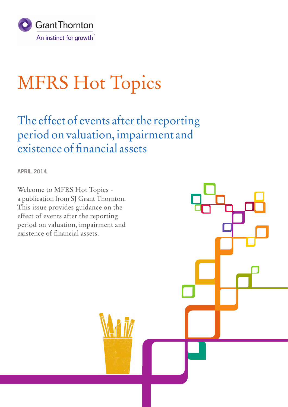

# MFRS Hot Topics

The effect of events after the reporting period on valuation, impairment and existence of financial assets

**APRIL 2014**

Welcome to MFRS Hot Topics a publication from SJ Grant Thornton. This issue provides guidance on the effect of events after the reporting period on valuation, impairment and existence of financial assets.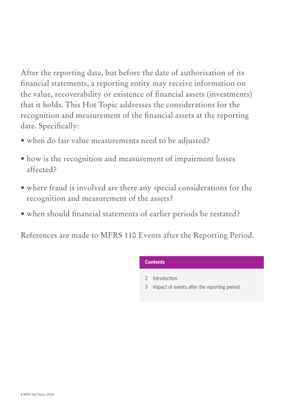After the reporting date, but before the date of authorisation of its financial statements, a reporting entity may receive information on the value, recoverability or existence of financial assets (investments) that it holds. This Hot Topic addresses the considerations for the recognition and measurement of the financial assets at the reporting date. Specifically:

- when do fair value measurements need to be adjusted?
- how is the recognition and measurement of impairment losses affected?
- where fraud is involved are there any special considerations for the recognition and measurement of the assets?
- when should financial statements of earlier periods be restated?

References are made to MFRS 110 Events after the Reporting Period.

# **Contents**

- 2 Introduction
- 3 Impact of events after the reporting period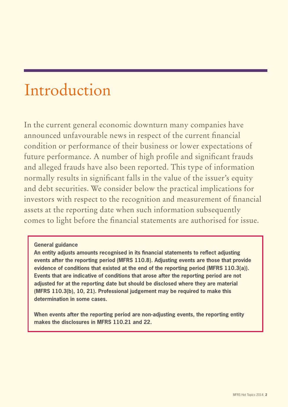# Introduction

In the current general economic downturn many companies have announced unfavourable news in respect of the current financial condition or performance of their business or lower expectations of future performance. A number of high profile and significant frauds and alleged frauds have also been reported. This type of information normally results in significant falls in the value of the issuer's equity and debt securities. We consider below the practical implications for investors with respect to the recognition and measurement of financial assets at the reporting date when such information subsequently comes to light before the financial statements are authorised for issue.

# **General guidance**

**An entity adjusts amounts recognised in its financial statements to reflect adjusting events after the reporting period (MFRS 110.8). Adjusting events are those that provide evidence of conditions that existed at the end of the reporting period (MFRS 110.3(a)). Events that are indicative of conditions that arose after the reporting period are not adjusted for at the reporting date but should be disclosed where they are material (MFRS 110.3(b), 10, 21). Professional judgement may be required to make this determination in some cases.**

**When events after the reporting period are non-adjusting events, the reporting entity makes the disclosures in MFRS 110.21 and 22.**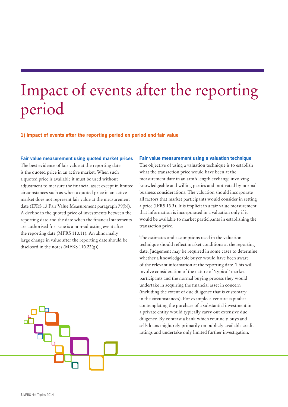# Impact of events after the reporting period

**1) Impact of events after the reporting period on period end fair value**

# **Fair value measurement using quoted market prices**

The best evidence of fair value at the reporting date is the quoted price in an active market. When such a quoted price is available it must be used without adjustment to measure the financial asset except in limited circumstances such as when a quoted price in an active market does not represent fair value at the measurement date (IFRS 13 Fair Value Measurement paragraph 79(b)). A decline in the quoted price of investments between the reporting date and the date when the financial statements are authorised for issue is a non-adjusting event after the reporting date (MFRS 110.11). An abnormally large change in value after the reporting date should be disclosed in the notes (MFRS  $110.22(g)$ ).

# **Fair value measurement using a valuation technique**

The objective of using a valuation technique is to establish what the transaction price would have been at the measurement date in an arm's length exchange involving knowledgeable and willing parties and motivated by normal business considerations. The valuation should incorporate all factors that market participants would consider in setting a price (IFRS 13.3). It is implicit in a fair value measurement that information is incorporated in a valuation only if it would be available to market participants in establishing the transaction price.

The estimates and assumptions used in the valuation technique should reflect market conditions at the reporting date. Judgement may be required in some cases to determine whether a knowledgeable buyer would have been aware of the relevant information at the reporting date. This will involve consideration of the nature of 'typical' market participants and the normal buying process they would undertake in acquiring the financial asset in concern (including the extent of due diligence that is customary in the circumstances). For example, a venture capitalist contemplating the purchase of a substantial investment in a private entity would typically carry out extensive due diligence. By contrast a bank which routinely buys and sells loans might rely primarily on publicly available credit ratings and undertake only limited further investigation.

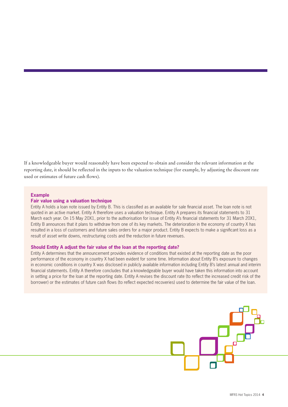If a knowledgeable buyer would reasonably have been expected to obtain and consider the relevant information at the reporting date, it should be reflected in the inputs to the valuation technique (for example, by adjusting the discount rate used or estimates of future cash flows).

# **Example**

#### **Fair value using a valuation technique**

Entity A holds a loan note issued by Entity B. This is classified as an available for sale financial asset. The loan note is not quoted in an active market. Entity A therefore uses a valuation technique. Entity A prepares its financial statements to 31 March each year. On 15 May 20X1, prior to the authorisation for issue of Entity A's financial statements for 31 March 20X1, Entity B announces that it plans to withdraw from one of its key markets. The deterioration in the economy of country X has resulted in a loss of customers and future sales orders for a major product. Entity B expects to make a significant loss as a result of asset write downs, restructuring costs and the reduction in future revenues.

# **Should Entity A adjust the fair value of the loan at the reporting date?**

Entity A determines that the announcement provides evidence of conditions that existed at the reporting date as the poor performance of the economy in country X had been evident for some time. Information about Entity B's exposure to changes in economic conditions in country X was disclosed in publicly available information including Entity B's latest annual and interim financial statements. Entity A therefore concludes that a knowledgeable buyer would have taken this information into account in setting a price for the loan at the reporting date. Entity A revises the discount rate (to reflect the increased credit risk of the borrower) or the estimates of future cash flows (to reflect expected recoveries) used to determine the fair value of the loan.

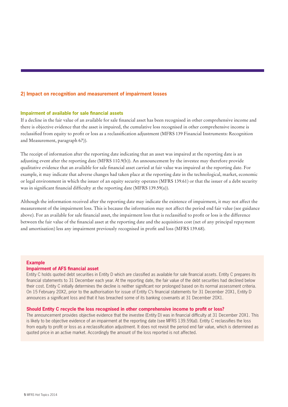# **2) Impact on recognition and measurement of impairment losses**

# **Impairment of available for sale financial assets**

If a decline in the fair value of an available for sale financial asset has been recognised in other comprehensive income and there is objective evidence that the asset is impaired, the cumulative loss recognised in other comprehensive income is reclassified from equity to profit or loss as a reclassification adjustment (MFRS 139 Financial Instruments: Recognition and Measurement, paragraph 67)).

The receipt of information after the reporting date indicating that an asset was impaired at the reporting date is an adjusting event after the reporting date (MFRS 110.9(b)). An announcement by the investee may therefore provide qualitative evidence that an available for sale financial asset carried at fair value was impaired at the reporting date. For example, it may indicate that adverse changes had taken place at the reporting date in the technological, market, economic or legal environment in which the issuer of an equity security operates (MFRS 139.61) or that the issuer of a debt security was in significant financial difficulty at the reporting date (MFRS 139.59(a)).

Although the information received after the reporting date may indicate the existence of impairment, it may not affect the measurement of the impairment loss. This is because the information may not affect the period end fair value (see guidance above). For an available for sale financial asset, the impairment loss that is reclassified to profit or loss is the difference between the fair value of the financial asset at the reporting date and the acquisition cost (net of any principal repayment and amortisation) less any impairment previously recognised in profit and loss (MFRS 139.68).

# **Example**

#### **Impairment of AFS financial asset**

Entity C holds quoted debt securities in Entity D which are classified as available for sale financial assets. Entity C prepares its financial statements to 31 December each year. At the reporting date, the fair value of the debt securities had declined below their cost. Entity C initially determines the decline is neither significant nor prolonged based on its normal assessment criteria. On 15 February 20X2, prior to the authorisation for issue of Entity C's financial statements for 31 December 20X1, Entity D announces a significant loss and that it has breached some of its banking covenants at 31 December 20X1.

# **Should Entity C recycle the loss recognised in other comprehensive income to profit or loss?**

The announcement provides objective evidence that the investee (Entity D) was in financial difficulty at 31 December 20X1. This is likely to be objective evidence of an impairment at the reporting date (see MFRS 139.59(a)). Entity C reclassifies the loss from equity to profit or loss as a reclassification adjustment. It does not revisit the period end fair value, which is determined as quoted price in an active market. Accordingly the amount of the loss reported is not affected.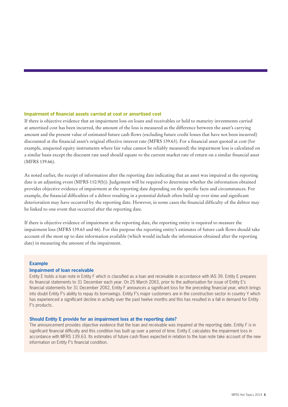# **Impairment of financial assets carried at cost or amortised cost**

If there is objective evidence that an impairment loss on loans and receivables or held to maturity investments carried at amortised cost has been incurred, the amount of the loss is measured as the difference between the asset's carrying amount and the present value of estimated future cash flows (excluding future credit losses that have not been incurred) discounted at the financial asset's original effective interest rate (MFRS 139.63). For a financial asset quoted at cost (for example, unquoted equity instruments where fair value cannot be reliably measured) the impairment loss is calculated on a similar basis except the discount rate used should equate to the current market rate of return on a similar financial asset (MFRS 139.66).

As noted earlier, the receipt of information after the reporting date indicating that an asset was impaired at the reporting date is an adjusting event (MFRS 110.9(b)). Judgement will be required to determine whether the information obtained provides objective evidence of impairment at the reporting date depending on the specific facts and circumstances. For example, the financial difficulties of a debtor resulting in a potential default often build up over time and significant deterioration may have occurred by the reporting date. However, in some cases the financial difficulty of the debtor may be linked to one event that occurred after the reporting date.

If there is objective evidence of impairment at the reporting date, the reporting entity is required to measure the impairment loss (MFRS 139.63 and 66). For this purpose the reporting entity's estimates of future cash flows should take account of the most up to date information available (which would include the information obtained after the reporting date) in measuring the amount of the impairment.

# **Example**

# **Impairment of loan receivable**

Entity E holds a loan note in Entity F which is classified as a loan and receivable in accordance with IAS 39. Entity E prepares its financial statements to 31 December each year. On 25 March 20X3, prior to the authorisation for issue of Entity E's financial statements for 31 December 20X2, Entity F announces a significant loss for the preceding financial year, which brings into doubt Entity F's ability to repay its borrowings. Entity F's major customers are in the construction sector in country Y which has experienced a significant decline in activity over the past twelve months and this has resulted in a fall in demand for Entity F's products.

# **Should Entity E provide for an impairment loss at the reporting date?**

The announcement provides objective evidence that the loan and receivable was impaired at the reporting date. Entity F is in significant financial difficulty and this condition has built up over a period of time. Entity E calculates the impairment loss in accordance with MFRS 139.63. Its estimates of future cash flows expected in relation to the loan note take account of the new information on Entity F's financial condition.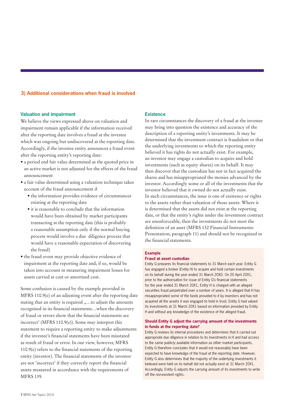# **3) Additional considerations when fraud is involved**

# **Valuation and impairment**

We believe the views expressed above on valuation and impairment remain applicable if the information received after the reporting date involves a fraud at the investee which was ongoing but undiscovered at the reporting date. Accordingly, if the investee entity announces a fraud event after the reporting entity's reporting date:

- a period end fair value determined as the quoted price in an active market is not adjusted for the effects of the fraud announcement
- a fair value determined using a valuation technique takes account of the fraud announcement if
	- the information provides evidence of circumstances existing at the reporting date
	- it is reasonable to conclude that the information would have been obtained by market participants transacting at the reporting date (this is probably a reasonable assumption only if the normal buying process would involve a due diligence process that would have a reasonable expectation of discovering the fraud)
- the fraud event may provide objective evidence of impairment at the reporting date and, if so, would be taken into account in measuring impairment losses for assets carried at cost or amortised cost.

Some confusion is caused by the example provided in MFRS 110.9(e) of an adjusting event after the reporting date stating that an entity is required "...to adjust the amounts recognised in its financial statements…when the discovery of fraud or errors show that the financial statements are incorrect' (MFRS 110.9(e)). Some may interpret this statement to require a reporting entity to make adjustments if the investee's financial statements have been misstated as result of fraud or error. In our view, however, MFRS 110.9(e) refers to the financial statements of the reporting entity (investor). The financial statements of the investor are not 'incorrect' if they correctly report the financial assets measured in accordance with the requirements of MFRS 139.

# **Existence**

In rare circumstances the discovery of a fraud at the investee may bring into question the existence and accuracy of the description of a reporting entity's investments. It may be determined that the investment contract is fraudulent or that the underlying investments to which the reporting entity believed it has rights do not actually exist. For example, an investor may engage a custodian to acquire and hold investments (such as equity shares) on its behalf. It may then discover that the custodian has not in fact acquired the shares and has misappropriated the monies advanced by the investor. Accordingly some or all of the investments that the investor believed that it owned do not actually exist. In such circumstances, the issue is one of existence or rights to the assets rather than valuation of those assets. Where it is determined that the assets did not exist at the reporting date, or that the entity's rights under the investment contract are unenforceable, then the investments do not meet the definition of an asset (MFRS 132 Financial Instruments: Presentation, paragraph 11) and should not be recognised in the financial statements.

# **Example**

# **Fraud at asset custodian**

Entity G prepares its financial statements to 31 March each year. Entity G has engaged a broker (Entity H) to acquire and hold certain investments on its behalf during the year ended 31 March 20X0. On 20 April 20X1, prior to the authorisation for issue of Entity G's financial statements for the year ended 31 March 20X1, Entity H is charged with an alleged securities fraud perpetrated over a number of years. It is alleged that H has misappropriated some of the funds provided to it by investors and has not acquired all the assets it was engaged to hold in trust. Entity G had valued its investments at 31 March 20X1 based on information provided by Entity H and without any knowledge of the existence of the alleged fraud.

#### **Should Entity G adjust the carrying amount of the investments in funds at the reporting date?**

Entity G reviews its internal procedures and determines that it carried out appropriate due diligence in relation to its investments in H and had access to the same publicly available information as other market participants. Entity G therefore concludes that it would not reasonably have been expected to have knowledge of the fraud at the reporting date. However, Entity G also determines that the majority of the underlying investments it believed were held on its behalf did not actually exist at 31 March 20X1. Accordingly, Entity G adjusts the carrying amount of its investments to write off the non-existent rights.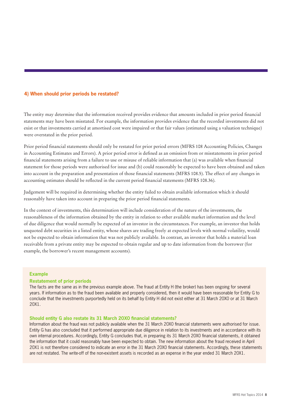# **4) When should prior periods be restated?**

The entity may determine that the information received provides evidence that amounts included in prior period financial statements may have been misstated. For example, the information provides evidence that the recorded investments did not exist or that investments carried at amortised cost were impaired or that fair values (estimated using a valuation technique) were overstated in the prior period.

Prior period financial statements should only be restated for prior period errors (MFRS 108 Accounting Policies, Changes in Accounting Estimates and Errors). A prior period error is defined as an omission from or misstatements in prior period financial statements arising from a failure to use or misuse of reliable information that (a) was available when financial statement for those periods were authorised for issue and (b) could reasonably be expected to have been obtained and taken into account in the preparation and presentation of those financial statements (MFRS 108.5). The effect of any changes in accounting estimates should be reflected in the current period financial statements (MFRS 108.36).

Judgement will be required in determining whether the entity failed to obtain available information which it should reasonably have taken into account in preparing the prior period financial statements.

In the context of investments, this determination will include consideration of the nature of the investments, the reasonableness of the information obtained by the entity in relation to other available market information and the level of due diligence that would normally be expected of an investor in the circumstances. For example, an investor that holds unquoted debt securities in a listed entity, whose shares are trading freely at expected levels with normal volatility, would not be expected to obtain information that was not publicly available. In contrast, an investor that holds a material loan receivable from a private entity may be expected to obtain regular and up to date information from the borrower (for example, the borrower's recent management accounts).

# **Example**

# **Restatement of prior periods**

The facts are the same as in the previous example above. The fraud at Entity H (the broker) has been ongoing for several years. If information as to the fraud been available and properly considered, then it would have been reasonable for Entity G to conclude that the investments purportedly held on its behalf by Entity H did not exist either at 31 March 20X0 or at 31 March 20X1.

# **Should entity G also restate its 31 March 20X0 financial statements?**

Information about the fraud was not publicly available when the 31 March 20X0 financial statements were authorised for issue. Entity G has also concluded that it performed appropriate due diligence in relation to its investments and in accordance with its own internal procedures. Accordingly, Entity G concludes that, in preparing its 31 March 20X0 financial statements, it obtained the information that it could reasonably have been expected to obtain. The new information about the fraud received in April 20X1 is not therefore considered to indicate an error in the 31 March 20X0 financial statements. Accordingly, these statements are not restated. The write-off of the non-existent assets is recorded as an expense in the year ended 31 March 20X1.